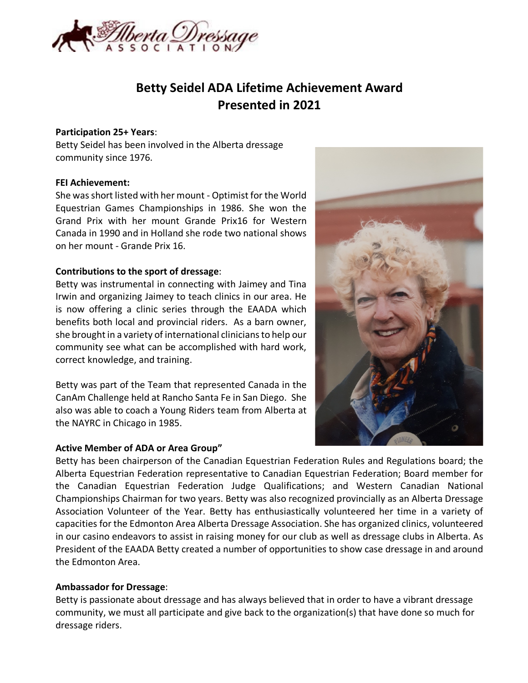

# **Betty Seidel ADA Lifetime Achievement Award Presented in 2021**

### **Participation 25+ Years**:

Betty Seidel has been involved in the Alberta dressage community since 1976.

### **FEI Achievement:**

She was short listed with her mount - Optimist for the World Equestrian Games Championships in 1986. She won the Grand Prix with her mount Grande Prix16 for Western Canada in 1990 and in Holland she rode two national shows on her mount - Grande Prix 16.

### **Contributions to the sport of dressage**:

Betty was instrumental in connecting with Jaimey and Tina Irwin and organizing Jaimey to teach clinics in our area. He is now offering a clinic series through the EAADA which benefits both local and provincial riders. As a barn owner, she brought in a variety of international clinicians to help our community see what can be accomplished with hard work, correct knowledge, and training.

Betty was part of the Team that represented Canada in the CanAm Challenge held at Rancho Santa Fe in San Diego. She also was able to coach a Young Riders team from Alberta at the NAYRC in Chicago in 1985.

# **Active Member of ADA or Area Group"**



Betty has been chairperson of the Canadian Equestrian Federation Rules and Regulations board; the Alberta Equestrian Federation representative to Canadian Equestrian Federation; Board member for the Canadian Equestrian Federation Judge Qualifications; and Western Canadian National Championships Chairman for two years. Betty was also recognized provincially as an Alberta Dressage Association Volunteer of the Year. Betty has enthusiastically volunteered her time in a variety of capacities for the Edmonton Area Alberta Dressage Association. She has organized clinics, volunteered in our casino endeavors to assist in raising money for our club as well as dressage clubs in Alberta. As President of the EAADA Betty created a number of opportunities to show case dressage in and around the Edmonton Area.

#### **Ambassador for Dressage**:

Betty is passionate about dressage and has always believed that in order to have a vibrant dressage community, we must all participate and give back to the organization(s) that have done so much for dressage riders.